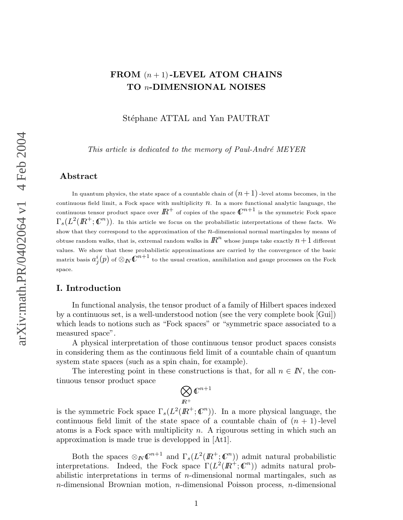# FROM  $(n+1)$ -LEVEL ATOM CHAINS TO n-DIMENSIONAL NOISES

Stéphane ATTAL and Yan PAUTRAT

This article is dedicated to the memory of Paul-André MEYER

# Abstract

In quantum physics, the state space of a countable chain of  $(n+1)$  -level atoms becomes, in the continuous field limit, a Fock space with multiplicity  $n$ . In a more functional analytic language, the continuous tensor product space over  $I\!\!R^+$  of copies of the space  $\mathcal{C}^{n+1}$  is the symmetric Fock space  $\Gamma_s(L^2(I\!\! R^+;{\cal C}^n))$ . In this article we focus on the probabilistic interpretations of these facts. We show that they correspond to the approximation of the  $n$ -dimensional normal martingales by means of obtuse random walks, that is, extremal random walks in  ${I\!\!R}^n$  whose jumps take exactly  $n\!+\!1$  different values. We show that these probabilistic approximations are carried by the convergence of the basic matrix basis  $a^i_j(p)$  of  $\otimes_{I\!\!N} {\mathbb C}^{n+1}$  to the usual creation, annihilation and gauge processes on the Fock space.

# I. Introduction

In functional analysis, the tensor product of a family of Hilbert spaces indexed by a continuous set, is a well-understood notion (see the very complete book [Gui]) which leads to notions such as "Fock spaces" or "symmetric space associated to a measured space".

A physical interpretation of those continuous tensor product spaces consists in considering them as the continuous field limit of a countable chain of quantum system state spaces (such as a spin chain, for example).

The interesting point in these constructions is that, for all  $n \in \mathbb{N}$ , the continuous tensor product space

$$
\bigotimes_{I\!\!R^+} \mathbb{C}^{n+1}
$$

is the symmetric Fock space  $\Gamma_s(L^2(\mathbb{R}^+;\mathbb{C}^n))$ . In a more physical language, the continuous field limit of the state space of a countable chain of  $(n + 1)$ -level atoms is a Fock space with multiplicity n. A rigourous setting in which such an approximation is made true is developped in [At1].

Both the spaces  $\otimes_{I\!N} \mathbb{C}^{n+1}$  and  $\Gamma_s(L^2(\mathbb{R}^+;\mathbb{C}^n))$  admit natural probabilistic interpretations. Indeed, the Fock space  $\Gamma(L^2(\mathbb{R}^+;\mathbb{C}^n))$  admits natural probabilistic interpretations in terms of n-dimensional normal martingales, such as  $n$ -dimensional Brownian motion,  $n$ -dimensional Poisson process,  $n$ -dimensional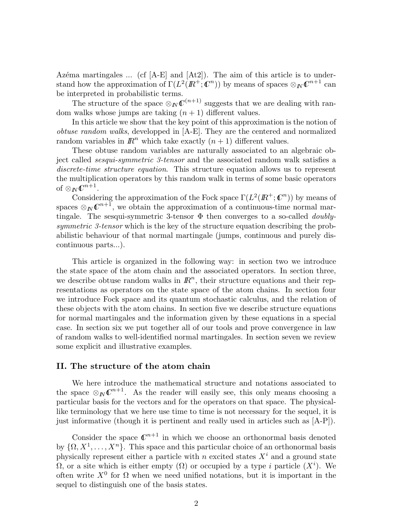Azéma martingales  $\ldots$  (cf [A-E] and [At2]). The aim of this article is to understand how the approximation of  $\Gamma(L^2(\mathbb{R}^+;\mathbb{C}^n))$  by means of spaces  $\otimes_{\mathbb{N}} \mathbb{C}^{n+1}$  can be interpreted in probabilistic terms.

The structure of the space  $\otimes_{I\!N} \mathcal{C}^{(n+1)}$  suggests that we are dealing with random walks whose jumps are taking  $(n + 1)$  different values.

In this article we show that the key point of this approximation is the notion of obtuse random walks, developped in [A-E]. They are the centered and normalized random variables in  $\mathbb{R}^n$  which take exactly  $(n + 1)$  different values.

These obtuse random variables are naturally associated to an algebraic object called sesqui-symmetric 3-tensor and the associated random walk satisfies a discrete-time structure equation. This structure equation allows us to represent the multiplication operators by this random walk in terms of some basic operators of  $\otimes_{I\!\!N} 0^{n+1}$ .

Considering the approximation of the Fock space  $\Gamma(L^2(\mathbb{R}^+;\mathbb{C}^n))$  by means of spaces  $\otimes_{I\!\!N} \mathcal{C}^{n+1}$ , we obtain the approximation of a continuous-time normal martingale. The sesqui-symmetric 3-tensor  $\Phi$  then converges to a so-called *doubly*symmetric 3-tensor which is the key of the structure equation describing the probabilistic behaviour of that normal martingale (jumps, continuous and purely discontinuous parts...).

This article is organized in the following way: in section two we introduce the state space of the atom chain and the associated operators. In section three, we describe obtuse random walks in  $\mathbb{R}^n$ , their structure equations and their representations as operators on the state space of the atom chains. In section four we introduce Fock space and its quantum stochastic calculus, and the relation of these objects with the atom chains. In section five we describe structure equations for normal martingales and the information given by these equations in a special case. In section six we put together all of our tools and prove convergence in law of random walks to well-identified normal martingales. In section seven we review some explicit and illustrative examples.

# II. The structure of the atom chain

We here introduce the mathematical structure and notations associated to the space  $\otimes_{I\!\!N} \mathbb{C}^{n+1}$ . As the reader will easily see, this only means choosing a particular basis for the vectors and for the operators on that space. The physicallike terminology that we here use time to time is not necessary for the sequel, it is just informative (though it is pertinent and really used in articles such as [A-P]).

Consider the space  $\mathbb{C}^{n+1}$  in which we choose an orthonormal basis denoted by  $\{\Omega, X^1, \ldots, X^n\}$ . This space and this particular choice of an orthonormal basis physically represent either a particle with n excited states  $X^i$  and a ground state  $\Omega$ , or a site which is either empty  $(\Omega)$  or occupied by a type i particle  $(X<sup>i</sup>)$ . We often write  $X^0$  for  $\Omega$  when we need unified notations, but it is important in the sequel to distinguish one of the basis states.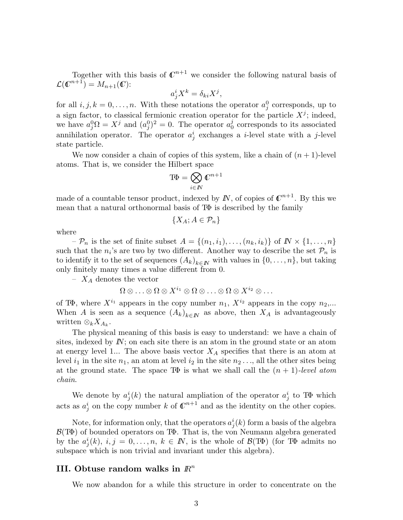Together with this basis of  $\mathbb{C}^{n+1}$  we consider the following natural basis of  $\mathcal{L}(\mathbb{C}^{n+1})=M_{n+1}(\mathbb{C})$ :

$$
a_j^i X^k = \delta_{ki} X^j,
$$

for all  $i, j, k = 0, \ldots, n$ . With these notations the operator  $a_j^0$  corresponds, up to a sign factor, to classical fermionic creation operator for the particle  $X^j$ ; indeed, we have  $a_j^0 \Omega = X^j$  and  $(a_j^0)^2 = 0$ . The operator  $a_0^j$  $\frac{1}{0}$  corresponds to its associated annihilation operator. The operator  $a_j^i$  exchanges a *i*-level state with a *j*-level state particle.

We now consider a chain of copies of this system, like a chain of  $(n + 1)$ -level atoms. That is, we consider the Hilbert space

$$
\mathrm{T}\!\Phi = \bigotimes_{i\in I\!\!N} \mathbb{C}^{n+1}
$$

made of a countable tensor product, indexed by  $\mathbb{N}$ , of copies of  $\mathbb{C}^{n+1}$ . By this we mean that a natural orthonormal basis of TΦ is described by the family

$$
\{X_A; A \in \mathcal{P}_n\}
$$

where

 $-\mathcal{P}_n$  is the set of finite subset  $A = \{(n_1, i_1), \ldots, (n_k, i_k)\}\$  of  $\mathbb{N} \times \{1, \ldots, n\}$ such that the  $n_i$ 's are two by two different. Another way to describe the set  $\mathcal{P}_n$  is to identify it to the set of sequences  $(A_k)_{k\in\mathbb{N}}$  with values in  $\{0,\ldots,n\}$ , but taking only finitely many times a value different from 0.

 $- X_A$  denotes the vector

$$
\Omega\otimes\ldots\otimes\Omega\otimes X^{i_1}\otimes\Omega\otimes\ldots\otimes\Omega\otimes X^{i_2}\otimes\ldots
$$

of TΦ, where  $X^{i_1}$  appears in the copy number  $n_1, X^{i_2}$  appears in the copy  $n_2,...$ When A is seen as a sequence  $(A_k)_{k\in\mathbb{N}}$  as above, then  $X_A$  is advantageously written  $\otimes_k X_{A_k}$ .

The physical meaning of this basis is easy to understand: we have a chain of sites, indexed by  $\mathbb{N}$ ; on each site there is an atom in the ground state or an atom at energy level 1... The above basis vector  $X_A$  specifies that there is an atom at level  $i_1$  in the site  $n_1$ , an atom at level  $i_2$  in the site  $n_2 \dots$ , all the other sites being at the ground state. The space TΦ is what we shall call the  $(n + 1)$ -level atom chain.

We denote by  $a_j^i(k)$  the natural ampliation of the operator  $a_j^i$  to TΦ which acts as  $a_j^i$  on the copy number k of  $\mathbb{C}^{n+1}$  and as the identity on the other copies.

Note, for information only, that the operators  $a_j^i(k)$  form a basis of the algebra  $\mathcal{B}(\mathbb{T}\Phi)$  of bounded operators on  $\mathbb{T}\Phi$ . That is, the von Neumann algebra generated by the  $a_j^i(k)$ ,  $i, j = 0, \ldots, n$ ,  $k \in \mathbb{N}$ , is the whole of  $\mathcal{B}(\mathbb{T}\Phi)$  (for  $\mathbb{T}\Phi$  admits no subspace which is non trivial and invariant under this algebra).

## III. Obtuse random walks in  $\mathbb{R}^n$

We now abandon for a while this structure in order to concentrate on the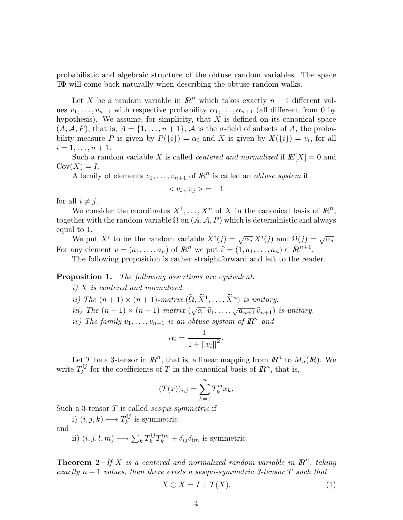probabilistic and algebraic structure of the obtuse random variables. The space TΦ will come back naturally when describing the obtuse random walks.

Let X be a random variable in  $\mathbb{R}^n$  which takes exactly  $n + 1$  different values  $v_1, \ldots, v_{n+1}$  with respective probability  $\alpha_1, \ldots, \alpha_{n+1}$  (all different from 0 by hypothesis). We assume, for simplicity, that  $X$  is defined on its canonical space  $(A, \mathcal{A}, P)$ , that is,  $A = \{1, \ldots, n+1\}$ ,  $\mathcal{A}$  is the  $\sigma$ -field of subsets of A, the probability measure P is given by  $P({i}) = \alpha_i$  and X is given by  $X({i}) = v_i$ , for all  $i = 1, \ldots, n + 1.$ 

Such a random variable X is called *centered and normalized* if  $E[X] = 0$  and  $Cov(X) = I.$ 

A family of elements  $v_1, \ldots, v_{n+1}$  of  $\mathbb{R}^n$  is called an *obtuse system* if

$$
\langle v_i, v_j \rangle = -1
$$

for all  $i \neq j$ .

We consider the coordinates  $X^1, \ldots, X^n$  of X in the canonical basis of  $\mathbb{R}^n$ , together with the random variable  $\Omega$  on  $(A, \mathcal{A}, P)$  which is deterministic and always equal to 1.

We put  $\widetilde{X}^i$  to be the random variable  $\widetilde{X}^i(j) = \sqrt{\alpha_j} X^i(j)$  and  $\widetilde{\Omega}(j) = \sqrt{\alpha_j}$ . For any element  $v = (a_1, \ldots, a_n)$  of  $\mathbb{R}^n$  we put  $\widehat{v} = (1, a_1, \ldots, a_n) \in \mathbb{R}^{n+1}$ .

The following proposition is rather straightforward and left to the reader.

**Proposition 1.** – The following assertions are equivalent.

- i) X is centered and normalized.
- ii) The  $(n+1) \times (n+1)$ -matrix  $(\widetilde{\Omega}, \widetilde{X}^1, \ldots, \widetilde{X}^n)$  is unitary.
- iii) The  $(n+1) \times (n+1)$ -matrix  $(\sqrt{\alpha_1} \hat{v}_1, \dots, \sqrt{a_{n+1}} \hat{v}_{n+1})$  is unitary.
- iv) The family  $v_1, \ldots, v_{n+1}$  is an obtuse system of  $\mathbb{R}^n$  and

$$
\alpha_i = \frac{1}{1 + ||v_i||^2}.
$$

Let T be a 3-tensor in  $\mathbb{R}^n$ , that is, a linear mapping from  $\mathbb{R}^n$  to  $M_n(\mathbb{R})$ . We write  $T_k^{ij}$  $\frac{di}{k}$  for the coefficients of T in the canonical basis of  $\mathbb{R}^n$ , that is,

$$
(T(x))_{i,j} = \sum_{k=1}^{n} T_k^{ij} x_k.
$$

Such a 3-tensor  $T$  is called *sesqui-symmetric* if

i)  $(i, j, k) \longmapsto T_k^{ij}$  $\kappa^{ij}$  is symmetric and

ii)  $(i, j, l, m) \longmapsto \sum_{k} T_{k}^{ij}$  $\partial_k^{ij} T_k^{lm} + \delta_{ij} \delta_{lm}$  is symmetric.

**Theorem 2** – If X is a centered and normalized random variable in  $\mathbb{R}^n$ , taking exactly  $n + 1$  values, then there exists a sesqui-symmetric 3-tensor T such that

$$
X \otimes X = I + T(X). \tag{1}
$$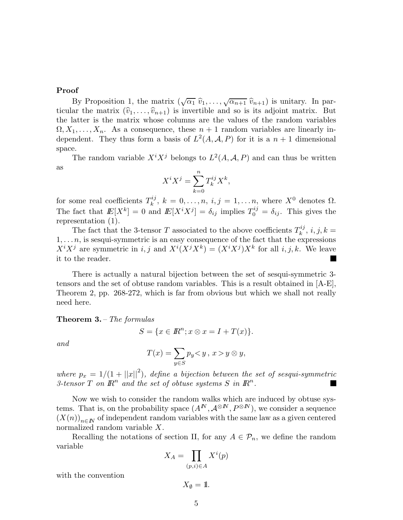# Proof

By Proposition 1, the matrix  $(\sqrt{\alpha_1} \hat{v}_1, \dots, \sqrt{\alpha_{n+1}} \hat{v}_{n+1})$  is unitary. In particular the matrix  $(\widehat{v}_1, \ldots, \widehat{v}_{n+1})$  is invertible and so is its adjoint matrix. But the latter is the matrix whose columns are the values of the random variables  $\Omega, X_1, \ldots, X_n$ . As a consequence, these  $n+1$  random variables are linearly independent. They thus form a basis of  $L^2(A, \mathcal{A}, P)$  for it is a  $n + 1$  dimensional space.

The random variable  $X^i X^j$  belongs to  $L^2(A, \mathcal{A}, P)$  and can thus be written as

$$
X^i X^j = \sum_{k=0}^n T_k^{ij} X^k,
$$

for some real coefficients  $T_k^{ij}$  $\lambda_k^{i,j}, k = 0, \ldots, n, i, j = 1, \ldots, n$ , where  $X^0$  denotes  $\Omega$ . The fact that  $E[X^k] = 0$  and  $E[X^i X^j] = \delta_{ij}$  implies  $T_0^{ij} = \delta_{ij}$ . This gives the representation (1).

The fact that the 3-tensor T associated to the above coefficients  $T_k^{ij}$  $k^{ij}, i, j, k =$  $1, \ldots n$ , is sesqui-symmetric is an easy consequence of the fact that the expressions  $X^{i}X^{j}$  are symmetric in i, j and  $X^{i}(X^{j}X^{k}) = (X^{i}X^{j})X^{k}$  for all i, j, k. We leave it to the reader.

There is actually a natural bijection between the set of sesqui-symmetric 3 tensors and the set of obtuse random variables. This is a result obtained in [A-E], Theorem 2, pp. 268-272, which is far from obvious but which we shall not really need here.

**Theorem 3.** – The formulas

$$
S = \{x \in \mathbb{R}^n; x \otimes x = I + T(x)\}.
$$

and

$$
T(x) = \sum_{y \in S} p_y < y \,, \, x > y \otimes y,
$$

where  $p_x = 1/(1 + ||x||^2)$ , define a bijection between the set of sesqui-symmetric 3-tensor  $T$  on  $\mathbb{R}^n$  and the set of obtuse systems  $S$  in  $\mathbb{R}^n$ .

Now we wish to consider the random walks which are induced by obtuse systems. That is, on the probability space  $(A^N, \mathcal{A}^{\otimes N}, P^{\otimes N})$ , we consider a sequence  $(X(n))_{n\in\mathbb{N}}$  of independent random variables with the same law as a given centered normalized random variable X.

Recalling the notations of section II, for any  $A \in \mathcal{P}_n$ , we define the random variable

$$
X_A = \prod_{(p,i) \in A} X^i(p)
$$

with the convention

$$
X_{\emptyset} = 1\!\!1.
$$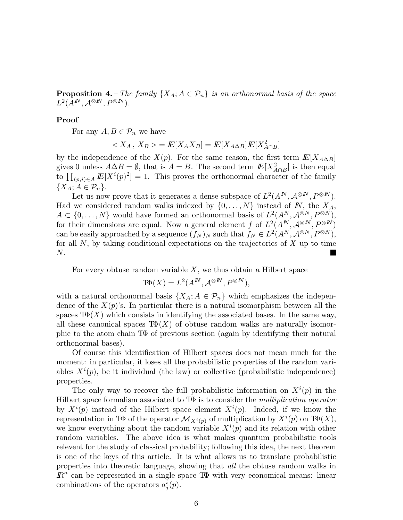**Proposition 4.** – The family  $\{X_A; A \in \mathcal{P}_n\}$  is an orthonormal basis of the space  $L^2(A^I\! N, A^{\otimes I\! N}, P^{\otimes I\! N}).$ 

Proof

For any  $A, B \in \mathcal{P}_n$  we have

$$
\langle X_A, X_B \rangle = E[X_A X_B] = E[X_{A \Delta B}] E[X_{A \cap B}^2]
$$

by the independence of the  $X(p)$ . For the same reason, the first term  $E[X_{A\Delta B}]$ gives 0 unless  $A\Delta B = \emptyset$ , that is  $A = B$ . The second term  $E[X_{A\cap B}^2]$  is then equal to  $\prod_{(p,i)\in A} E[X^i(p)^2] = 1$ . This proves the orthonormal character of the family  ${X_A; A \in \mathcal{P}_n}.$ 

Let us now prove that it generates a dense subspace of  $L^2(A^N, A^{\otimes N}, P^{\otimes N})$ . Had we considered random walks indexed by  $\{0, \ldots, N\}$  instead of  $N$ , the  $X_A$ ,  $A \subset \{0, \ldots, N\}$  would have formed an orthonormal basis of  $L^2(A^N, \mathcal{A}^{\otimes N}, P^{\otimes N}),$ for their dimensions are equal. Now a general element f of  $L^2(A^N, \mathcal{A}^{\otimes N}, P^{\otimes N})$ can be easily approached by a sequence  $(f_N)_N$  such that  $f_N \in L^2(A^N, \mathcal{A}^{\otimes N}, P^{\otimes N}),$ for all  $N$ , by taking conditional expectations on the trajectories of  $X$  up to time N.

For every obtuse random variable  $X$ , we thus obtain a Hilbert space

$$
\text{TP}(X) = L^2(A^N, \mathcal{A}^{\otimes N}, P^{\otimes N}),
$$

with a natural orthonormal basis  $\{X_A; A \in \mathcal{P}_n\}$  which emphasizes the independence of the  $X(p)$ 's. In particular there is a natural isomorphism between all the spaces  $T\Phi(X)$  which consists in identifying the associated bases. In the same way, all these canonical spaces  $T\Phi(X)$  of obtuse random walks are naturally isomorphic to the atom chain TΦ of previous section (again by identifying their natural orthonormal bases).

Of course this identification of Hilbert spaces does not mean much for the moment: in particular, it loses all the probabilistic properties of the random variables  $X^{i}(p)$ , be it individual (the law) or collective (probabilistic independence) properties.

The only way to recover the full probabilistic information on  $X^{i}(p)$  in the Hilbert space formalism associated to  $T\Phi$  is to consider the *multiplication operator* by  $X^{i}(p)$  instead of the Hilbert space element  $X^{i}(p)$ . Indeed, if we know the representation in TΦ of the operator  $\mathcal{M}_{X^i(p)}$  of multiplication by  $X^i(p)$  on TΦ $(X)$ , we know everything about the random variable  $X^{i}(p)$  and its relation with other random variables. The above idea is what makes quantum probabilistic tools relevent for the study of classical probability; following this idea, the next theorem is one of the keys of this article. It is what allows us to translate probabilistic properties into theoretic language, showing that all the obtuse random walks in  $\mathbb{R}^n$  can be represented in a single space T $\Phi$  with very economical means: linear combinations of the operators  $a_j^i(p)$ .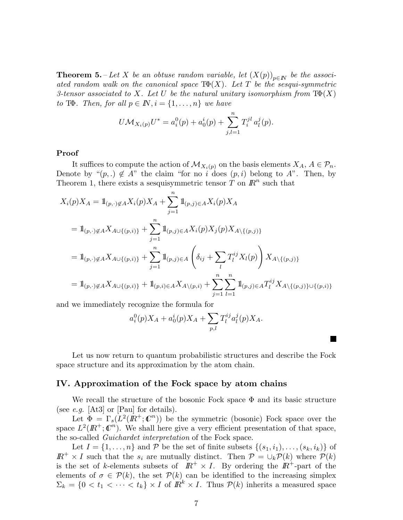**Theorem 5.** – Let X be an obtuse random variable, let  $(X(p))_{p\in\mathbb{N}}$  be the associated random walk on the canonical space  $T\Phi(X)$ . Let T be the sesqui-symmetric 3-tensor associated to X. Let U be the natural unitary isomorphism from  $T\Phi(X)$ to T $\Phi$ . Then, for all  $p \in \mathbb{N}$ ,  $i = \{1, \ldots, n\}$  we have

$$
U\mathcal{M}_{X_i(p)}U^* = a_i^0(p) + a_0^i(p) + \sum_{j,l=1}^n T_i^{jl} a_l^j(p).
$$

## Proof

It suffices to compute the action of  $\mathcal{M}_{X_i(p)}$  on the basis elements  $X_A, A \in \mathcal{P}_n$ . Denote by " $(p,.) \notin A$ " the claim "for no i does  $(p, i)$  belong to A". Then, by Theorem 1, there exists a sesquisymmetric tensor  $T$  on  $\mathbb{R}^n$  such that

$$
X_i(p)X_A = 1\!\!1_{(p,\cdot)\notin A} X_i(p)X_A + \sum_{j=1}^n 1\!\!1_{(p,j)\in A} X_i(p)X_A
$$
  
=  $1\!\!1_{(p,\cdot)\notin A} X_{A\cup\{(p,i)\}} + \sum_{j=1}^n 1\!\!1_{(p,j)\in A} X_i(p)X_j(p)X_{A\setminus\{(p,j)\}}$   
=  $1\!\!1_{(p,\cdot)\notin A} X_{A\cup\{(p,i)\}} + \sum_{j=1}^n 1\!\!1_{(p,j)\in A} \left(\delta_{ij} + \sum_l T_l^{ij} X_l(p)\right) X_{A\setminus\{(p,j)\}}$   
=  $1\!\!1_{(p,\cdot)\notin A} X_{A\cup\{(p,i)\}} + 1\!\!1_{(p,i)\in A} X_{A\setminus(p,i)} + \sum_{j=1}^n \sum_{l=1}^n 1\!\!1_{(p,j)\in A} T_l^{ij} X_{A\setminus\{(p,j)\}\cup\{(p,i)\}}$ 

and we immediately recognize the formula for

$$
a_i^0(p)X_A + a_0^i(p)X_A + \sum_{p,l} T_l^{ij} a_l^j(p)X_A.
$$

Let us now return to quantum probabilistic structures and describe the Fock space structure and its approximation by the atom chain.

### IV. Approximation of the Fock space by atom chains

We recall the structure of the bosonic Fock space  $\Phi$  and its basic structure (see *e.g.* [At3] or [Pau] for details).

Let  $\Phi = \Gamma_s(L^2(\mathbb{R}^+;\mathbb{C}^n))$  be the symmetric (bosonic) Fock space over the space  $L^2(\mathbb{R}^+;\mathbb{C}^n)$ . We shall here give a very efficient presentation of that space, the so-called Guichardet interpretation of the Fock space.

Let  $I = \{1, \ldots, n\}$  and P be the set of finite subsets  $\{(s_1, i_1), \ldots, (s_k, i_k)\}\$  of  $\mathbb{R}^+ \times I$  such that the  $s_i$  are mutually distinct. Then  $\mathcal{P} = \cup_k \mathcal{P}(k)$  where  $\mathcal{P}(k)$ is the set of k-elements subsets of  $\mathbb{R}^+ \times I$ . By ordering the  $\mathbb{R}^+$ -part of the elements of  $\sigma \in \mathcal{P}(k)$ , the set  $\mathcal{P}(k)$  can be identified to the increasing simplex  $\Sigma_k = \{0 \le t_1 \le \cdots \le t_k\} \times I$  of  $\mathbb{R}^k \times I$ . Thus  $\mathcal{P}(k)$  inherits a measured space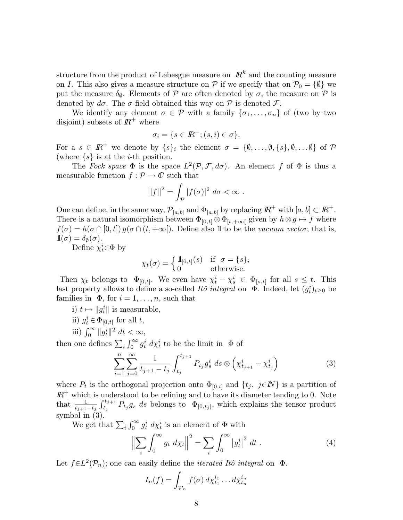structure from the product of Lebesgue measure on  $\mathbb{R}^k$  and the counting measure on I. This also gives a measure structure on P if we specify that on  $\mathcal{P}_0 = \{\emptyset\}$  we put the measure  $\delta_{\emptyset}$ . Elements of P are often denoted by  $\sigma$ , the measure on P is denoted by  $d\sigma$ . The  $\sigma$ -field obtained this way on  $\mathcal P$  is denoted  $\mathcal F$ .

We identify any element  $\sigma \in \mathcal{P}$  with a family  $\{\sigma_1, \ldots, \sigma_n\}$  of (two by two disjoint) subsets of  $\mathbb{R}^+$  where

$$
\sigma_i = \{ s \in I\!\!R^+; (s,i) \in \sigma \}.
$$

For a  $s \in \mathbb{R}^+$  we denote by  $\{s\}_i$  the element  $\sigma = \{\emptyset, \ldots, \emptyset, \{s\}, \emptyset, \ldots \emptyset\}$  of  $\mathcal P$ (where  $\{s\}$  is at the *i*-th position.

The Fock space  $\Phi$  is the space  $L^2(\mathcal{P}, \mathcal{F}, d\sigma)$ . An element f of  $\Phi$  is thus a measurable function  $f : \mathcal{P} \to \mathbb{C}$  such that

$$
||f||^2 = \int_{\mathcal{P}} |f(\sigma)|^2 d\sigma < \infty.
$$

One can define, in the same way,  $\mathcal{P}_{[a,b]}$  and  $\Phi_{[a,b]}$  by replacing  $\mathbb{R}^+$  with  $[a,b] \subset \mathbb{R}^+$ . There is a natural isomorphism between  $\Phi_{[0,t]} \otimes \Phi_{[t,+\infty]}$  given by  $h \otimes g \mapsto f$  where  $f(\sigma) = h(\sigma \cap [0, t]) g(\sigma \cap (t, +\infty])$ . Define also 1 to be the vacuum vector, that is,  $1\!\!1(\sigma) = \delta_{\emptyset}(\sigma)$ .

Define  $\chi_t^i \in \Phi$  by

$$
\chi_t(\sigma) = \begin{cases} \n\mathbb{1}_{[0,t]}(s) & \text{if } \sigma = \{s\}_i \\ \n0 & \text{otherwise.} \n\end{cases}
$$

Then  $\chi_t$  belongs to  $\Phi_{[0,t]}$ . We even have  $\chi_t^i - \chi_s^i \in \Phi_{[s,t]}$  for all  $s \leq t$ . This last property allows to define a so-called *Itô integral* on  $\Phi$ . Indeed, let  $(g_t^i)_{t\geq 0}$  be families in  $\Phi$ , for  $i = 1, \ldots, n$ , such that

- i)  $t \mapsto \|g_t^i\|$  is measurable,
- ii)  $g_t^i \in \Phi_{[0,t]}$  for all t,
- iii)  $\int_0^\infty \|g_t^i\|^2 dt < \infty$ ,

then one defines  $\sum_i \int_0^\infty g_t^i \ d\chi_t^i$  to be the limit in  $\Phi$  of

$$
\sum_{i=1}^{n} \sum_{j=0}^{\infty} \frac{1}{t_{j+1} - t_j} \int_{t_j}^{t_{j+1}} P_{t_j} g_s^i \, ds \otimes \left( \chi_{t_{j+1}}^i - \chi_{t_j}^i \right) \tag{3}
$$

where  $P_t$  is the orthogonal projection onto  $\Phi_{[0,t]}$  and  $\{t_j, j\in\mathbb{N}\}\$ is a partition of  $\mathbb{R}^+$  which is understood to be refining and to have its diameter tending to 0. Note that  $\frac{1}{t_{j+1}-t_j}$  $\int_{t_j}^{t_{j+1}} P_{t_j} g_s ds$  belongs to  $\Phi_{[0,t_j]}$ , which explains the tensor product symbol in (3).

We get that  $\sum_i \int_0^\infty g_t^i d\chi_t^i$  is an element of  $\Phi$  with

$$
\left\| \sum_{i} \int_{0}^{\infty} g_t \, d\chi_t \right\|^2 = \sum_{i} \int_{0}^{\infty} \left| g_t^i \right|^2 \, dt \,. \tag{4}
$$

Let  $f \in L^2(\mathcal{P}_n)$ ; one can easily define the *iterated Itô integral* on  $\Phi$ .

$$
I_n(f) = \int_{\mathcal{P}_n} f(\sigma) d\chi_{t_1}^{i_1} \dots d\chi_{t_n}^{i_n}
$$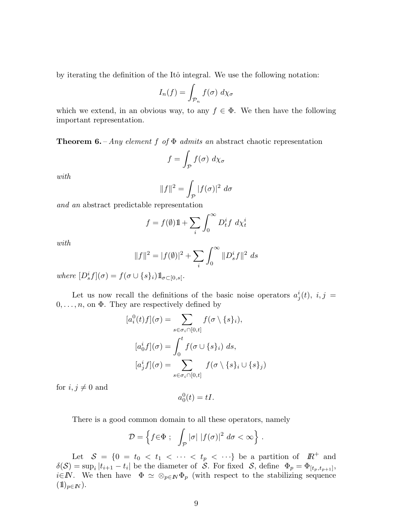by iterating the definition of the Itô integral. We use the following notation:

$$
I_n(f) = \int_{\mathcal{P}_n} f(\sigma) \ d\chi_{\sigma}
$$

which we extend, in an obvious way, to any  $f \in \Phi$ . We then have the following important representation.

**Theorem 6.** – Any element f of  $\Phi$  admits an abstract chaotic representation

$$
f = \int_{\mathcal{P}} f(\sigma) \ d\chi_{\sigma}
$$

with

$$
||f||^2 = \int_{\mathcal{P}} |f(\sigma)|^2 d\sigma
$$

and an abstract predictable representation

$$
f = f(\emptyset)1 + \sum_{i} \int_0^{\infty} D_t^i f \ d\chi_t^i
$$

with

$$
||f||^2 = |f(\emptyset)|^2 + \sum_{i} \int_0^{\infty} ||D_s^i f||^2 ds
$$

where  $[D_s^if](\sigma) = f(\sigma \cup \{s\}_i) 1\!\!\!\;1_{\sigma \subset [0,s[}.$ 

Let us now recall the definitions of the basic noise operators  $a_j^i(t)$ ,  $i, j =$  $0, \ldots, n$ , on  $\Phi$ . They are respectively defined by

$$
[a_i^0(t)f](\sigma) = \sum_{s \in \sigma_i \cap [0,t]} f(\sigma \setminus \{s\}_i),
$$

$$
[a_0^if](\sigma) = \int_0^t f(\sigma \cup \{s\}_i) ds,
$$

$$
[a_j^if](\sigma) = \sum_{s \in \sigma_i \cap [0,t]} f(\sigma \setminus \{s\}_i \cup \{s\}_j)
$$

for  $i, j \neq 0$  and

$$
a_0^0(t) = tI.
$$

There is a good common domain to all these operators, namely

$$
\mathcal{D} = \left\{ f \in \Phi \; ; \; \int_{\mathcal{P}} |\sigma| \; |f(\sigma)|^2 \; d\sigma < \infty \right\} \, .
$$

Let  $S = \{0 = t_0 < t_1 < \cdots < t_p < \cdots \}$  be a partition of  $\mathbb{R}^+$  and  $\delta(\mathcal{S}) = \sup_i |t_{i+1} - t_i|$  be the diameter of  $\mathcal{S}$ . For fixed  $\mathcal{S}$ , define  $\Phi_p = \Phi_{[t_p, t_{p+1}]}$ , i∈N. We then have  $\Phi \simeq \otimes_{p \in \mathbb{N}} \Phi_p$  (with respect to the stabilizing sequence  $(1)_{p\in I\!\!N}$ ).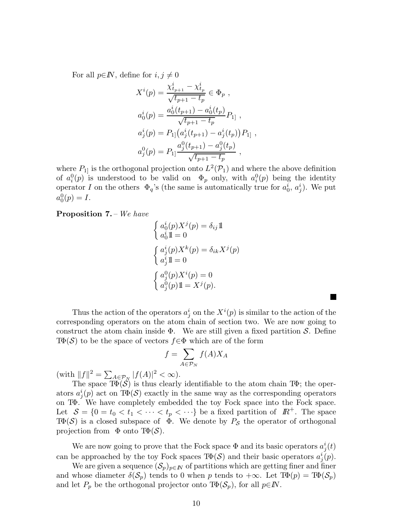For all  $p \in \mathbb{N}$ , define for  $i, j \neq 0$ 

$$
X^{i}(p) = \frac{\chi_{t_{p+1}}^{i} - \chi_{t_p}^{i}}{\sqrt{t_{p+1} - t_p}} \in \Phi_p ,
$$
  
\n
$$
a_0^{i}(p) = \frac{a_0^{i}(t_{p+1}) - a_0^{i}(t_p)}{\sqrt{t_{p+1} - t_p}} P_{1} ,
$$
  
\n
$$
a_j^{i}(p) = P_{1} \left( a_j^{i}(t_{p+1}) - a_j^{i}(t_p) \right) P_{1} ,
$$
  
\n
$$
a_j^{0}(p) = P_{1} \frac{a_j^{0}(t_{p+1}) - a_j^{0}(t_p)}{\sqrt{t_{p+1} - t_p}} ,
$$

where  $P_{1}$  is the orthogonal projection onto  $L^2(\mathcal{P}_1)$  and where the above definition of  $a_i^0(p)$  is understood to be valid on  $\Phi_p$  only, with  $a_i^0(p)$  being the identity operator I on the others  $\Phi_q$ 's (the same is automatically true for  $a_0^i, a_j^i$ ). We put  $a_0^0(p) = I.$ 

Proposition 7. – We have

$$
\begin{cases}\na_0^i(p)X^j(p) = \delta_{ij}\mathbb{1} \\
a_0^i \mathbb{1} = 0\n\end{cases}
$$
\n
$$
\begin{cases}\na_j^i(p)X^k(p) = \delta_{ik}X^j(p) \\
a_j^i \mathbb{1} = 0\n\end{cases}
$$
\n
$$
\begin{cases}\na_j^0(p)X^i(p) = 0 \\
a_j^0(p) \mathbb{1} = X^j(p).\n\end{cases}
$$

Thus the action of the operators  $a_j^i$  on the  $X^i(p)$  is similar to the action of the corresponding operators on the atom chain of section two. We are now going to construct the atom chain inside  $\Phi$ . We are still given a fixed partition S. Define  $T\Phi(\mathcal{S})$  to be the space of vectors  $f \in \Phi$  which are of the form

**The State** 

$$
f = \sum_{A \in \mathcal{P}_N} f(A) X_A
$$

 $(\text{with } \|f\|^2 = \sum_{A \in \mathcal{P}_N} |f(A)|^2 < \infty).$ 

The space  $T\Phi(\mathcal{S})$  is thus clearly identifiable to the atom chain T $\Phi$ ; the operators  $a_j^i(p)$  act on T $\Phi(S)$  exactly in the same way as the corresponding operators on TΦ. We have completely embedded the toy Fock space into the Fock space. Let  $S = \{0 = t_0 < t_1 < \cdots < t_p < \cdots\}$  be a fixed partition of  $\mathbb{R}^+$ . The space  $T\Phi(\mathcal{S})$  is a closed subspace of  $\Phi$ . We denote by  $P_{\mathcal{S}}$  the operator of orthogonal projection from  $\Phi$  onto T $\Phi(\mathcal{S})$ .

We are now going to prove that the Fock space  $\Phi$  and its basic operators  $a_j^i(t)$ can be approached by the toy Fock spaces  $T\Phi(\mathcal{S})$  and their basic operators  $a_j^i(p)$ .

We are given a sequence  $(\mathcal{S}_p)_{p\in\mathbb{N}}$  of partitions which are getting finer and finer and whose diameter  $\delta(\mathcal{S}_p)$  tends to 0 when p tends to  $+\infty$ . Let  $\text{Tr}(\mathcal{D}) = \text{Tr}(\mathcal{S}_p)$ and let  $P_p$  be the orthogonal projector onto  $\text{Tr}(\mathcal{S}_p)$ , for all  $p \in \mathbb{N}$ .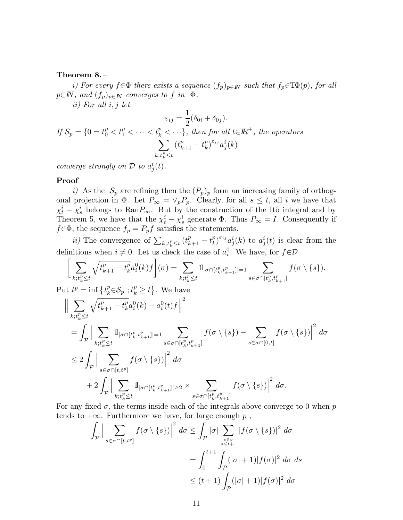#### Theorem 8. –

i) For every  $f \in \Phi$  there exists a sequence  $(f_p)_{p \in \mathbb{N}}$  such that  $f_p \in \text{TP}(p)$ , for all  $p \in \mathbb{N}$ , and  $(f_p)_{p \in \mathbb{N}}$  converges to f in  $\Phi$ .

ii) For all i, j let

$$
\varepsilon_{ij} = \frac{1}{2} (\delta_{0i} + \delta_{0j}).
$$
  
If  $S_p = \{0 = t_0^p < t_1^p < \cdots < t_k^p < \cdots\},\text{ then for all } t \in \mathbb{R}^+, \text{ the operators}$   

$$
\sum_{k;t_k^p \le t} (t_{k+1}^p - t_k^p)^{\varepsilon_{ij}} a_j^i(k)
$$

converge strongly on  $\mathcal D$  to  $a_j^i(t)$ .

## Proof

i) As the  $S_p$  are refining then the  $(P_p)_p$  form an increasing family of orthogonal projection in  $\Phi$ . Let  $P_{\infty} = \vee_p P_p$ . Clearly, for all  $s \leq t$ , all i we have that  $\chi_t^i - \chi_s^i$  belongs to Ran $P_\infty$ . But by the construction of the Itô integral and by Theorem 5, we have that the  $\chi_t^i - \chi_s^i$  generate  $\Phi$ . Thus  $P_\infty = I$ . Consequently if  $f \in \Phi$ , the sequence  $f_p = P_p f$  satisfies the statements.

*ii*) The convergence of  $\sum_{k,t_k^p \leq t} (t_{k+1}^p - t_k^p)$  $\int_k^p e^{i_j} a_j^i(k)$  to  $a_j^i(t)$  is clear from the definitions when  $i \neq 0$ . Let us check the case of  $a_i^0$ . We have, for  $f \in \mathcal{D}$ 

$$
\bigg[\sum_{k;t_k^p\leq t}\sqrt{t_{k+1}^p-t_k^p}a_i^0(k)f\bigg](\sigma)=\sum_{k;t_k^p\leq t}\mathbbm{1}_{|\sigma\cap[t_k^p,t_{k+1}^p]|=1}\sum_{s\in\sigma\cap[t_k^p,t_{k+1}^p]}f(\sigma\setminus\{s\}).
$$

Put  $t^p = \inf \{ t^p_k \in \mathcal{S}_p : t^p_k \ge t \}.$  We have

$$
\begin{split}\n&\left\|\sum_{k;t_{k}^{p}\leq t} \sqrt{t_{k+1}^{p}-t_{k}^{p}} a_{i}^{0}(k)-a_{i}^{0}(t)f\right\|^{2} \\
&= \int_{\mathcal{P}} \Big|\sum_{k;t_{k}^{p}\leq t} \mathbb{1}_{|\sigma \cap [t_{k}^{p},t_{k+1}^{p}]| = 1} \sum_{s\in \sigma \cap [t_{k}^{p},t_{k+1}^{p}]}\ f(\sigma \setminus \{s\}) - \sum_{s\in \sigma \cap [0,t]} f(\sigma \setminus \{s\})\Big|^{2} d\sigma \\
&\leq 2 \int_{\mathcal{P}} \Big|\sum_{s\in \sigma \cap [t,t^{p}]} f(\sigma \setminus \{s\})\Big|^{2} d\sigma \\
&+ 2 \int_{\mathcal{P}} \Big|\sum_{k;t_{k}^{p}\leq t} \mathbb{1}_{|\sigma \cap [t_{k}^{p},t_{k+1}^{p}]| \geq 2} \times \sum_{s\in \sigma \cap [t_{k}^{p},t_{k+1}^{p}]}\ f(\sigma \setminus \{s\})\Big|^{2} d\sigma.\n\end{split}
$$

For any fixed  $\sigma$ , the terms inside each of the integrals above converge to 0 when p tends to  $+\infty$ . Furthermore we have, for large enough p,

$$
\int_{\mathcal{P}} \Big| \sum_{s \in \sigma \cap [t, t^p]} f(\sigma \setminus \{s\}) \Big|^2 d\sigma \le \int_{\mathcal{P}} |\sigma| \sum_{s \in \sigma \atop s \le t+1} |f(\sigma \setminus \{s\})|^2 d\sigma
$$

$$
= \int_0^{t+1} \int_{\mathcal{P}} (|\sigma| + 1) |f(\sigma)|^2 d\sigma d\sigma
$$

$$
\le (t+1) \int_{\mathcal{P}} (|\sigma| + 1) |f(\sigma)|^2 d\sigma
$$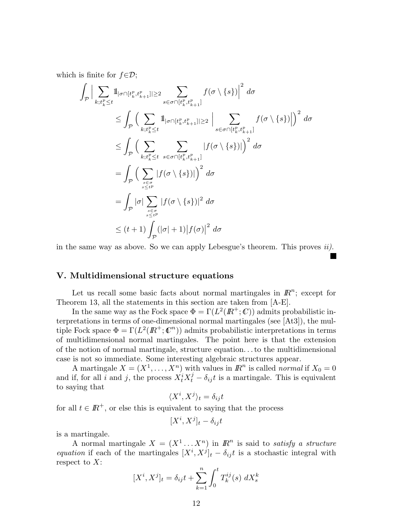which is finite for  $f \in \mathcal{D}$ ;

$$
\int_{\mathcal{P}} \Big| \sum_{k;t_k^p \leq t} 1_{|\sigma \cap [t_k^p, t_{k+1}^p] \geq 2} \sum_{s \in \sigma \cap [t_k^p, t_{k+1}^p]} f(\sigma \setminus \{s\}) \Big|^2 d\sigma
$$
\n
$$
\leq \int_{\mathcal{P}} \Big( \sum_{k;t_k^p \leq t} 1_{|\sigma \cap [t_k^p, t_{k+1}^p] \geq 2} \Big| \sum_{s \in \sigma \cap [t_k^p, t_{k+1}^p]} f(\sigma \setminus \{s\}) \Big|^2 d\sigma
$$
\n
$$
\leq \int_{\mathcal{P}} \Big( \sum_{k;t_k^p \leq t} \sum_{s \in \sigma \cap [t_k^p, t_{k+1}^p]} |f(\sigma \setminus \{s\})| \Big)^2 d\sigma
$$
\n
$$
= \int_{\mathcal{P}} \Big( \sum_{s \in \sigma \atop s \leq t^p} |f(\sigma \setminus \{s\})| \Big)^2 d\sigma
$$
\n
$$
= \int_{\mathcal{P}} |\sigma| \sum_{s \in \sigma \atop s \leq t^p} |f(\sigma \setminus \{s\})|^2 d\sigma
$$
\n
$$
\leq (t+1) \int_{\mathcal{P}} (|\sigma|+1) |f(\sigma)|^2 d\sigma
$$

in the same way as above. So we can apply Lebesgue's theorem. This proves  $ii$ .

## V. Multidimensional structure equations

Let us recall some basic facts about normal martingales in  $\mathbb{R}^n$ ; except for Theorem 13, all the statements in this section are taken from [A-E].

In the same way as the Fock space  $\Phi = \Gamma(L^2(\mathbb{R}^+;\mathbb{C}))$  admits probabilistic interpretations in terms of one-dimensional normal martingales (see [At3]), the multiple Fock space  $\Phi = \Gamma(L^2(\mathbb{R}^+;\mathbb{C}^n))$  admits probabilistic interpretations in terms of multidimensional normal martingales. The point here is that the extension of the notion of normal martingale, structure equation. . .to the multidimensional case is not so immediate. Some interesting algebraic structures appear.

A martingale  $X = (X^1, \ldots, X^n)$  with values in  $\mathbb{R}^n$  is called *normal* if  $X_0 = 0$ and if, for all i and j, the process  $X_t^i X_t^j - \delta_{ij} t$  is a martingale. This is equivalent to saying that

$$
\langle X^i, X^j \rangle_t = \delta_{ij} t
$$

for all  $t \in \mathbb{R}^+$ , or else this is equivalent to saying that the process

$$
[X^i, X^j]_t - \delta_{ij}t
$$

is a martingale.

A normal martingale  $X = (X^1 \dots X^n)$  in  $\mathbb{R}^n$  is said to satisfy a structure equation if each of the martingales  $[X^i, X^j]_t - \delta_{ij}t$  is a stochastic integral with respect to  $X$ :

$$
[X^{i}, X^{j}]_{t} = \delta_{ij}t + \sum_{k=1}^{n} \int_{0}^{t} T_{k}^{ij}(s) dX_{s}^{k}
$$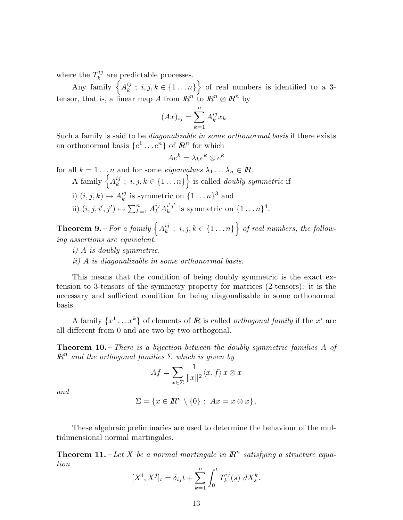where the  $T_k^{ij}$  $k^{ij}$  are predictable processes.

Any family  $\left\{ A_{k}^{ij}\right\}$  $\{i, j, k \in \{1 \dots n\}\}$  of real numbers is identified to a 3tensor, that is, a linear map A from  $\mathbb{R}^n$  to  $\mathbb{R}^n \otimes \mathbb{R}^n$  by

$$
(Ax)_{ij} = \sum_{k=1}^{n} A_k^{ij} x_k .
$$

Such a family is said to be *diagonalizable in some orthonormal basis* if there exists an orthonormal basis  $\{e^1 \dots e^n\}$  of  $\mathbb{R}^n$  for which

 $Ae^k = \lambda_k e^k \otimes e^k$ 

for all  $k = 1 \dots n$  and for some *eigenvalues*  $\lambda_1 \dots \lambda_n \in \mathbb{R}$ .

- A family  $\left\{A_k^{ij}\right\}$  $\{i_j; i, j, k \in \{1 \dots n\}\}$  is called *doubly symmetric* if
- i)  $(i, j, k) \mapsto A_k^{ij}$  $\binom{ij}{k}$  is symmetric on  $\{1 \dots n\}^3$  and
- ii)  $(i, j, i', j') \mapsto \sum_{k=1}^{n} A_k^{ij} A_k^{i'j'}$  $\binom{i'j'}{k}$  is symmetric on  $\{1 \dots n\}^4$ .

**Theorem 9.** – For a family  $\left\{A_k^{ij}\right\}$  $\{e^{ij}_k; i,j,k \in \{1 \dots n\}\right\}$  of real numbers, the following assertions are equivalent.

- i) A is doubly symmetric.
- ii) A is diagonalizable in some orthonormal basis.

This means that the condition of being doubly symmetric is the exact extension to 3-tensors of the symmetry property for matrices (2-tensors): it is the necessary and sufficient condition for being diagonalisable in some orthonormal basis.

A family  $\{x^1 \dots x^k\}$  of elements of R is called *orthogonal family* if the  $x^i$  are all different from 0 and are two by two orthogonal.

**Theorem 10.** – There is a bijection between the doubly symmetric families A of  $\overline{R}^n$  and the orthogonal families  $\Sigma$  which is given by

$$
Af = \sum_{x \in \Sigma} \frac{1}{\|x\|^2} \langle x, f \rangle \, x \otimes x
$$

and

$$
\Sigma = \{x \in \mathbb{R}^n \setminus \{0\} ; Ax = x \otimes x\}.
$$

These algebraic preliminaries are used to determine the behaviour of the multidimensional normal martingales.

**Theorem 11.** – Let X be a normal martingale in  $\mathbb{R}^n$  satisfying a structure equation

$$
[X^{i}, X^{j}]_{t} = \delta_{ij}t + \sum_{k=1}^{n} \int_{0}^{t} T_{k}^{ij}(s) \ dX_{s}^{k}.
$$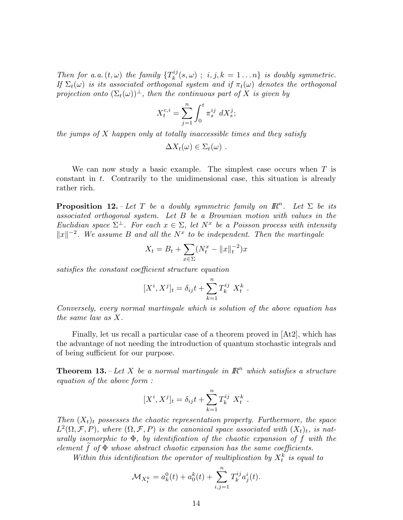Then for a.a.  $(t, \omega)$  the family  $\{T_k^{ij}\}$  $k^{n_j}(s,\omega)$ ;  $i, j, k = 1...n$  is doubly symmetric. If  $\Sigma_t(\omega)$  is its associated orthogonal system and if  $\pi_t(\omega)$  denotes the orthogonal projection onto  $(\Sigma_t(\omega))^{\perp}$ , then the continuous part of X is given by

$$
X^{c,i}_t = \sum_{j=1}^n \int_0^t \pi^{ij}_s \ dX^j_s;
$$

the jumps of  $X$  happen only at totally inaccessible times and they satisfy

 $\Delta X_t(\omega) \in \Sigma_t(\omega)$ .

We can now study a basic example. The simplest case occurs when  $T$  is constant in t. Contrarily to the unidimensional case, this situation is already rather rich.

**Proposition 12.** - Let T be a doubly symmetric family on  $\mathbb{R}^n$ . Let  $\Sigma$  be its associated orthogonal system. Let B be a Brownian motion with values in the Euclidian space  $\Sigma^{\perp}$ . For each  $x \in \Sigma$ , let  $N^x$  be a Poisson process with intensity  $||x||^{-2}$ . We assume B and all the  $N^x$  to be independent. Then the martingale

$$
X_t = B_t + \sum_{x \in \Sigma} (N_t^x - ||x||_t^{-2})x
$$

satisfies the constant coefficient structure equation

$$
[X^{i}, X^{j}]_{t} = \delta_{ij}t + \sum_{k=1}^{n} T_{k}^{ij} X_{t}^{k} .
$$

Conversely, every normal martingale which is solution of the above equation has the same law as X.

Finally, let us recall a particular case of a theorem proved in [At2], which has the advantage of not needing the introduction of quantum stochastic integrals and of being sufficient for our purpose.

**Theorem 13.** – Let X be a normal martingale in  $\mathbb{R}^n$  which satisfies a structure equation of the above form :

$$
[X^{i}, X^{j}]_{t} = \delta_{ij}t + \sum_{k=1}^{n} T_{k}^{ij} X_{t}^{k} .
$$

Then  $(X_t)_t$  possesses the chaotic representation property. Furthermore, the space  $L^2(\Omega, \mathcal{F}, P)$ , where  $(\Omega, \mathcal{F}, P)$  is the canonical space associated with  $(X_t)_t$ , is naturally isomorphic to  $\Phi$ , by identification of the chaotic expansion of f with the element  $f$  of  $\Phi$  whose abstract chaotic expansion has the same coefficients.

Within this identification the operator of multiplication by  $X_t^k$  is equal to

$$
\mathcal{M}_{X_t^k} = a_k^0(t) + a_0^k(t) + \sum_{i,j=1}^n T_k^{ij} a_j^i(t).
$$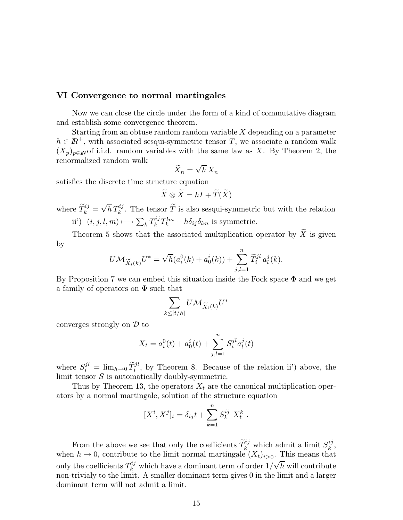## VI Convergence to normal martingales

Now we can close the circle under the form of a kind of commutative diagram and establish some convergence theorem.

Starting from an obtuse random random variable X depending on a parameter  $h \in \mathbb{R}^+$ , with associated sesqui-symmetric tensor T, we associate a random walk  $(X_p)_{p\in\mathbb{N}}$  of i.i.d. random variables with the same law as X. By Theorem 2, the renormalized random walk

$$
\widetilde{X}_n = \sqrt{h} \, X_n
$$

satisfies the discrete time structure equation

$$
\widetilde{X} \otimes \widetilde{X} = hI + \widetilde{T}(\widetilde{X})
$$

where  $\tilde{T}_k^{ij} = \sqrt{h} T_k^{ij}$ . The tensor  $\tilde{T}$  is also sesqui-symmetric but with the relation ii')  $(i, j, l, m) \longmapsto \sum_{k} T_{k}^{ij}$  $\partial_k^{ij} T_k^{lm} + h \delta_{ij} \delta_{lm}$  is symmetric.

Theorem 5 shows that the associated multiplication operator by  $\widetilde{X}$  is given by

$$
U\mathcal{M}_{\widetilde{X}_{i}(k)}U^{*} = \sqrt{h}(a_{i}^{0}(k) + a_{0}^{i}(k)) + \sum_{j,l=1}^{n} \widetilde{T}_{i}^{jl} a_{l}^{j}(k).
$$

By Proposition 7 we can embed this situation inside the Fock space  $\Phi$  and we get a family of operators on  $\Phi$  such that

$$
\sum_{k\leq [t/h]} U\mathcal{M}_{\widetilde{X}_{i}(k)}U^{*}
$$

converges strongly on  $\mathcal D$  to

$$
X_t = a_i^0(t) + a_0^i(t) + \sum_{j,l=1}^n S_i^{jl} a_l^j(t)
$$

where  $S_i^{jl} = \lim_{h \to 0} \tilde{T}_i^{jl}$ , by Theorem 8. Because of the relation ii') above, the limit tensor  $S$  is automatically doubly-symmetric.

Thus by Theorem 13, the operators  $X_t$  are the canonical multiplication operators by a normal martingale, solution of the structure equation

$$
[X^{i}, X^{j}]_{t} = \delta_{ij}t + \sum_{k=1}^{n} S_{k}^{ij} X_{t}^{k} .
$$

From the above we see that only the coefficients  $\widetilde{T}_{k}^{ij}$  which admit a limit  $S_{k}^{ij}$  $_{k}^{\imath\jmath},$ when  $h \to 0$ , contribute to the limit normal martingale  $(X_t)_{t \geq 0}$ . This means that only the coefficients  $T_k^{ij}$  which have a dominant term of order  $1/\sqrt{h}$  will contribute non-trivialy to the limit. A smaller dominant term gives 0 in the limit and a larger dominant term will not admit a limit.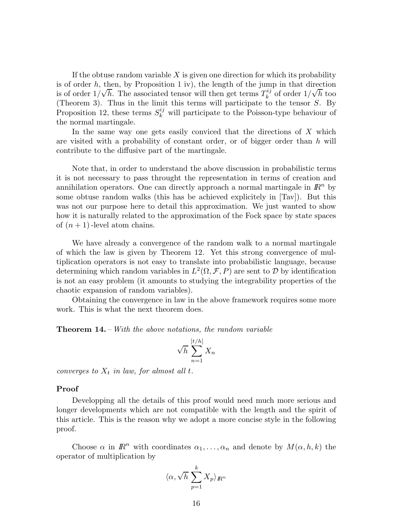If the obtuse random variable  $X$  is given one direction for which its probability is of order  $h$ , then, by Proposition 1 iv), the length of the jump in that direction is of order  $n_i$ , and, by 1 reposition 1 iv), the length of the jump  $\int_{k}^{i j}$  of order  $1/\sqrt{h}$  too (Theorem 3). Thus in the limit this terms will participate to the tensor S. By Proposition 12, these terms  $S_k^{ij}$  will participate to the Poisson-type behaviour of the normal martingale.

In the same way one gets easily conviced that the directions of X which are visited with a probability of constant order, or of bigger order than  $h$  will contribute to the diffusive part of the martingale.

Note that, in order to understand the above discussion in probabilistic terms it is not necessary to pass throught the representation in terms of creation and annihilation operators. One can directly approach a normal martingale in  $\mathbb{R}^n$  by some obtuse random walks (this has be achieved explicitely in [Tav]). But this was not our purpose here to detail this approximation. We just wanted to show how it is naturally related to the approximation of the Fock space by state spaces of  $(n + 1)$ -level atom chains.

We have already a convergence of the random walk to a normal martingale of which the law is given by Theorem 12. Yet this strong convergence of multiplication operators is not easy to translate into probabilistic language, because determining which random variables in  $L^2(\Omega, \mathcal{F}, P)$  are sent to  $D$  by identification is not an easy problem (it amounts to studying the integrability properties of the chaotic expansion of random variables).

Obtaining the convergence in law in the above framework requires some more work. This is what the next theorem does.

Theorem 14. – With the above notations, the random variable

$$
\sqrt{h}\sum_{n=1}^{[t/h]} X_n
$$

converges to  $X_t$  in law, for almost all t.

#### Proof

Developping all the details of this proof would need much more serious and longer developments which are not compatible with the length and the spirit of this article. This is the reason why we adopt a more concise style in the following proof.

Choose  $\alpha$  in  $\mathbb{R}^n$  with coordinates  $\alpha_1, \ldots, \alpha_n$  and denote by  $M(\alpha, h, k)$  the operator of multiplication by

$$
\langle \alpha, \sqrt{h} \sum_{p=1}^k X_p \rangle_{I\!\!R^n}
$$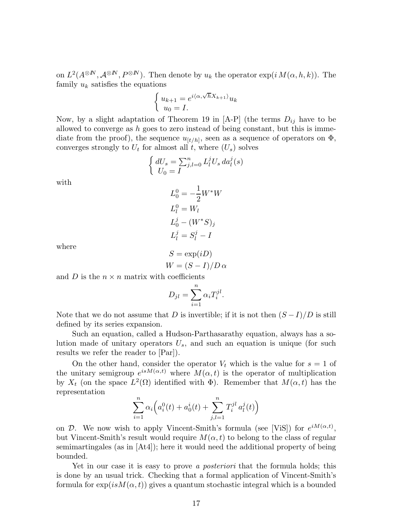on  $L^2(A^{\otimes N}, A^{\otimes N}, P^{\otimes N})$ . Then denote by  $u_k$  the operator  $\exp(i M(\alpha, h, k))$ . The family  $u_k$  satisfies the equations

$$
\begin{cases} u_{k+1} = e^{i\langle \alpha, \sqrt{h}X_{k+1}\rangle} u_k \\ u_0 = I. \end{cases}
$$

Now, by a slight adaptation of Theorem 19 in [A-P] (the terms  $D_{ij}$  have to be allowed to converge as h goes to zero instead of being constant, but this is immediate from the proof), the sequence  $u_{[t/h]}$ , seen as a sequence of operators on  $\Phi$ , converges strongly to  $U_t$  for almost all t, where  $(U_s)$  solves

$$
\begin{cases} dU_s = \sum_{j,l=0}^n L_l^j U_s da_l^j(s) \\ U_0 = I \end{cases}
$$

with

$$
L_0^0 = -\frac{1}{2}W^*W
$$
  
\n
$$
L_l^0 = W_l
$$
  
\n
$$
L_0^j - (W^*S)_j
$$
  
\n
$$
L_l^j = S_l^j - I
$$

where

$$
S = \exp(iD)
$$
  
 
$$
W = (S - I)/D \alpha
$$

and D is the  $n \times n$  matrix with coefficients

$$
D_{jl} = \sum_{i=1}^{n} \alpha_i T_i^{jl}.
$$

Note that we do not assume that D is invertible; if it is not then  $(S-I)/D$  is still defined by its series expansion.

Such an equation, called a Hudson-Parthasarathy equation, always has a solution made of unitary operators  $U_s$ , and such an equation is unique (for such results we refer the reader to [Par]).

On the other hand, consider the operator  $V_t$  which is the value for  $s = 1$  of the unitary semigroup  $e^{isM(\alpha,t)}$  where  $M(\alpha,t)$  is the operator of multiplication by  $X_t$  (on the space  $L^2(\Omega)$  identified with  $\Phi$ ). Remember that  $M(\alpha, t)$  has the representation

$$
\sum_{i=1}^{n} \alpha_i \Big( a_i^0(t) + a_0^i(t) + \sum_{j,l=1}^{n} T_i^{jl} a_l^j(t) \Big)
$$

on D. We now wish to apply Vincent-Smith's formula (see [ViS]) for  $e^{iM(\alpha,t)}$ , but Vincent-Smith's result would require  $M(\alpha, t)$  to belong to the class of regular semimartingales (as in [At4]); here it would need the additional property of being bounded.

Yet in our case it is easy to prove a *posteriori* that the formula holds; this is done by an usual trick. Checking that a formal application of Vincent-Smith's formula for  $\exp(isM(\alpha, t))$  gives a quantum stochastic integral which is a bounded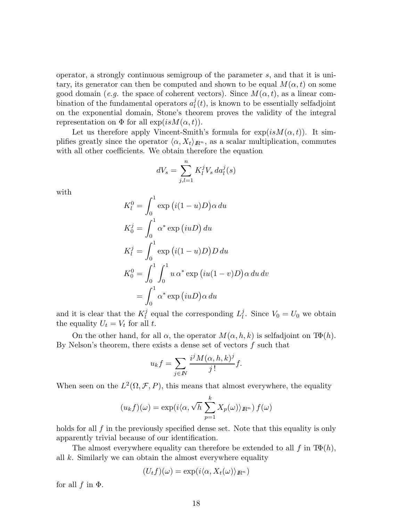operator, a strongly continuous semigroup of the parameter s, and that it is unitary, its generator can then be computed and shown to be equal  $M(\alpha, t)$  on some good domain (e.g. the space of coherent vectors). Since  $M(\alpha, t)$ , as a linear combination of the fundamental operators  $a_l^j$  $\ell_l^j(t)$ , is known to be essentially selfadjoint on the exponential domain, Stone's theorem proves the validity of the integral representation on  $\Phi$  for all  $\exp(isM(\alpha, t)).$ 

Let us therefore apply Vincent-Smith's formula for  $exp(isM(\alpha, t))$ . It simplifies greatly since the operator  $\langle \alpha, X_t \rangle_{\mathbb{R}^n}$ , as a scalar multiplication, commutes with all other coefficients. We obtain therefore the equation

$$
dV_s = \sum_{j,l=1}^n K_l^j V_s \, da_l^j(s)
$$

with

$$
K_l^0 = \int_0^1 \exp(i(1-u)D)\alpha \, du
$$
  
\n
$$
K_0^j = \int_0^1 \alpha^* \exp(iuD) \, du
$$
  
\n
$$
K_l^j = \int_0^1 \exp(i(1-u)D)D \, du
$$
  
\n
$$
K_0^0 = \int_0^1 \int_0^1 u \, \alpha^* \exp(iu(1-v)D)\alpha \, du \, dv
$$
  
\n
$$
= \int_0^1 \alpha^* \exp(iuD)\alpha \, du
$$

and it is clear that the  $K_l^j$  $l_l^j$  equal the corresponding  $L_l^j$ <sup>*l*</sup><sub>*l*</sub>. Since  $V_0 = U_0$  we obtain the equality  $U_t = V_t$  for all t.

On the other hand, for all  $\alpha$ , the operator  $M(\alpha, h, k)$  is selfadjoint on T $\Phi(h)$ . By Nelson's theorem, there exists a dense set of vectors  $f$  such that

$$
u_k f = \sum_{j \in \mathbb{N}} \frac{i^j M(\alpha, h, k)^j}{j!} f.
$$

When seen on the  $L^2(\Omega, \mathcal{F}, P)$ , this means that almost everywhere, the equality

$$
(u_k f)(\omega) = \exp(i \langle \alpha, \sqrt{h} \sum_{p=1}^k X_p(\omega) \rangle_{\mathbb{R}^n}) f(\omega)
$$

holds for all f in the previously specified dense set. Note that this equality is only apparently trivial because of our identification.

The almost everywhere equality can therefore be extended to all f in  $T\Phi(h)$ , all  $k$ . Similarly we can obtain the almost everywhere equality

$$
(U_t f)(\omega) = \exp(i \langle \alpha, X_t(\omega) \rangle_{\mathbb{R}^n})
$$

for all  $f$  in  $\Phi$ .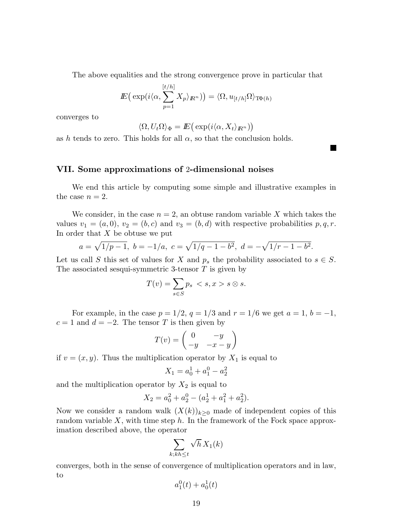The above equalities and the strong convergence prove in particular that

$$
I\!\!E\big(\exp(i\langle\alpha,\sum_{p=1}^{[t/h]}X_p\rangle_{I\!\!R^n})\big)=\langle\Omega,u_{[t/h]}\Omega\rangle_{\mathrm{T}\Phi(h)}
$$

converges to

$$
\langle \Omega, U_t \Omega \rangle_{\Phi} = I\!\!E \big( \exp(i \langle \alpha, X_t \rangle_{I\!\!R^n}) \big)
$$

as h tends to zero. This holds for all  $\alpha$ , so that the conclusion holds.

## VII. Some approximations of 2-dimensional noises

We end this article by computing some simple and illustrative examples in the case  $n = 2$ .

We consider, in the case  $n = 2$ , an obtuse random variable X which takes the values  $v_1 = (a, 0), v_2 = (b, c)$  and  $v_3 = (b, d)$  with respective probabilities  $p, q, r$ . In order that  $X$  be obtuse we put

$$
a = \sqrt{1/p - 1}, b = -1/a, c = \sqrt{1/q - 1 - b^2}, d = -\sqrt{1/r - 1 - b^2}.
$$

Let us call S this set of values for X and  $p_s$  the probability associated to  $s \in S$ . The associated sesqui-symmetric 3-tensor  $T$  is given by

$$
T(v) = \sum_{s \in S} p_s < s, x > s \otimes s.
$$

For example, in the case  $p = 1/2$ ,  $q = 1/3$  and  $r = 1/6$  we get  $a = 1$ ,  $b = -1$ ,  $c = 1$  and  $d = -2$ . The tensor T is then given by

$$
T(v) = \begin{pmatrix} 0 & -y \\ -y & -x - y \end{pmatrix}
$$

if  $v = (x, y)$ . Thus the multiplication operator by  $X_1$  is equal to

$$
X_1 = a_0^1 + a_1^0 - a_2^2
$$

and the multiplication operator by  $X_2$  is equal to

$$
X_2 = a_0^2 + a_2^0 - (a_2^1 + a_1^2 + a_2^2).
$$

Now we consider a random walk  $(X(k))_{k>0}$  made of independent copies of this random variable  $X$ , with time step  $h$ . In the framework of the Fock space approximation described above, the operator

$$
\sum_{k; kh\leq t} \sqrt{h} X_1(k)
$$

converges, both in the sense of convergence of multiplication operators and in law, to

$$
a_1^0(t) + a_0^1(t)
$$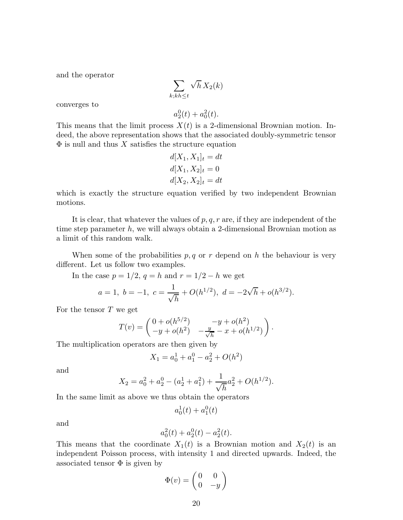and the operator

$$
\sum_{k; kh\leq t}\sqrt{h}\,X_2(k)
$$

converges to

$$
a_2^0(t) + a_0^2(t).
$$

This means that the limit process  $X(t)$  is a 2-dimensional Brownian motion. Indeed, the above representation shows that the associated doubly-symmetric tensor  $\Phi$  is null and thus X satisfies the structure equation

$$
d[X_1, X_1]_t = dt
$$
  

$$
d[X_1, X_2]_t = 0
$$
  

$$
d[X_2, X_2]_t = dt
$$

which is exactly the structure equation verified by two independent Brownian motions.

It is clear, that whatever the values of  $p, q, r$  are, if they are independent of the time step parameter h, we will always obtain a 2-dimensional Brownian motion as a limit of this random walk.

When some of the probabilities  $p, q$  or r depend on h the behaviour is very different. Let us follow two examples.

In the case  $p = 1/2$ ,  $q = h$  and  $r = 1/2 - h$  we get

$$
a = 1, b = -1, c = \frac{1}{\sqrt{h}} + O(h^{1/2}), d = -2\sqrt{h} + o(h^{3/2}).
$$

For the tensor  $T$  we get

$$
T(v) = \begin{pmatrix} 0 + o(h^{5/2}) & -y + o(h^2) \\ -y + o(h^2) & -\frac{y}{\sqrt{h}} - x + o(h^{1/2}) \end{pmatrix}.
$$

The multiplication operators are then given by

$$
X_1 = a_0^1 + a_1^0 - a_2^2 + O(h^2)
$$

and

$$
X_2 = a_0^2 + a_2^0 - (a_2^1 + a_1^2) + \frac{1}{\sqrt{h}} a_2^2 + O(h^{1/2}).
$$

In the same limit as above we thus obtain the operators

$$
a_0^1(t) + a_1^0(t)
$$

and

$$
a_0^2(t) + a_2^0(t) - a_2^2(t).
$$

This means that the coordinate  $X_1(t)$  is a Brownian motion and  $X_2(t)$  is an independent Poisson process, with intensity 1 and directed upwards. Indeed, the associated tensor  $\Phi$  is given by

$$
\Phi(v) = \begin{pmatrix} 0 & 0 \\ 0 & -y \end{pmatrix}
$$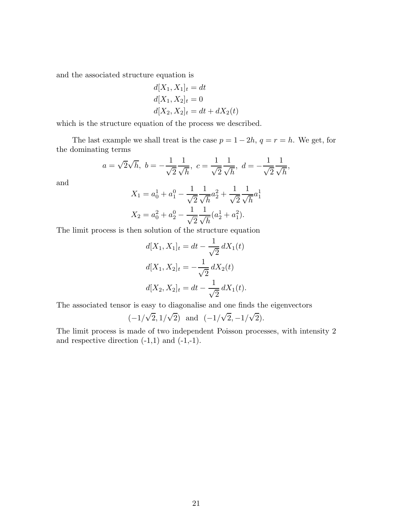and the associated structure equation is

$$
d[X_1, X_1]_t = dt
$$
  
\n
$$
d[X_1, X_2]_t = 0
$$
  
\n
$$
d[X_2, X_2]_t = dt + dX_2(t)
$$

which is the structure equation of the process we described.

The last example we shall treat is the case  $p = 1 - 2h$ ,  $q = r = h$ . We get, for the dominating terms

$$
a = \sqrt{2}\sqrt{h}, b = -\frac{1}{\sqrt{2}}\frac{1}{\sqrt{h}}, c = \frac{1}{\sqrt{2}}\frac{1}{\sqrt{h}}, d = -\frac{1}{\sqrt{2}}\frac{1}{\sqrt{h}},
$$

and

$$
X_1 = a_0^1 + a_1^0 - \frac{1}{\sqrt{2}} \frac{1}{\sqrt{h}} a_2^2 + \frac{1}{\sqrt{2}} \frac{1}{\sqrt{h}} a_1^1
$$
  

$$
X_2 = a_0^2 + a_2^0 - \frac{1}{\sqrt{2}} \frac{1}{\sqrt{h}} (a_2^1 + a_1^2).
$$

The limit process is then solution of the structure equation

$$
d[X_1, X_1]_t = dt - \frac{1}{\sqrt{2}} dX_1(t)
$$
  

$$
d[X_1, X_2]_t = -\frac{1}{\sqrt{2}} dX_2(t)
$$
  

$$
d[X_2, X_2]_t = dt - \frac{1}{\sqrt{2}} dX_1(t).
$$

The associated tensor is easy to diagonalise and one finds the eigenvectors

$$
(-1/\sqrt{2}, 1/\sqrt{2})
$$
 and  $(-1/\sqrt{2}, -1/\sqrt{2}).$ 

The limit process is made of two independent Poisson processes, with intensity 2 and respective direction  $(-1,1)$  and  $(-1,-1)$ .